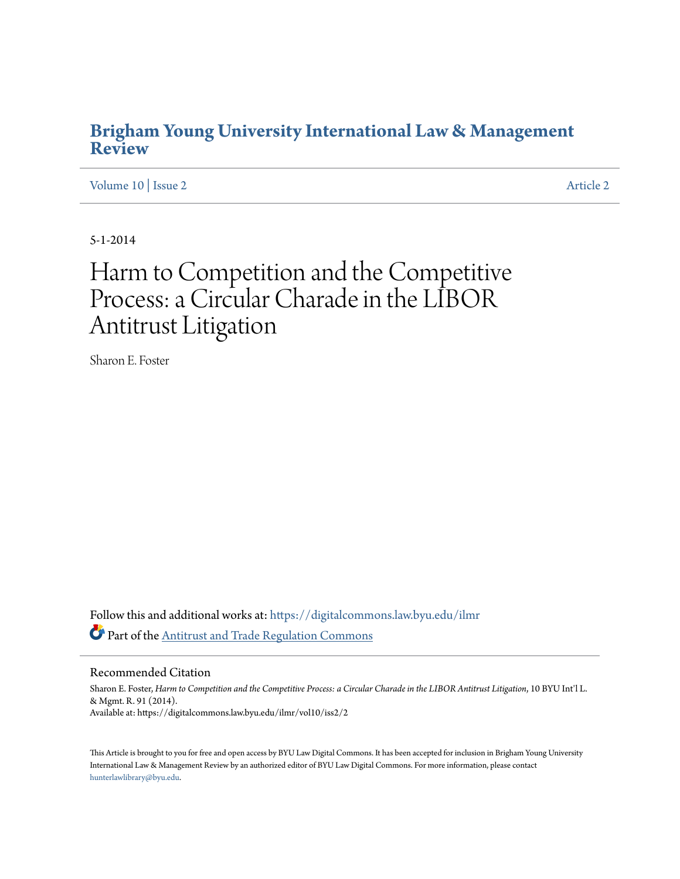# **[Brigham Young University International Law & Management](https://digitalcommons.law.byu.edu/ilmr?utm_source=digitalcommons.law.byu.edu%2Filmr%2Fvol10%2Fiss2%2F2&utm_medium=PDF&utm_campaign=PDFCoverPages) [Review](https://digitalcommons.law.byu.edu/ilmr?utm_source=digitalcommons.law.byu.edu%2Filmr%2Fvol10%2Fiss2%2F2&utm_medium=PDF&utm_campaign=PDFCoverPages)**

[Volume 10](https://digitalcommons.law.byu.edu/ilmr/vol10?utm_source=digitalcommons.law.byu.edu%2Filmr%2Fvol10%2Fiss2%2F2&utm_medium=PDF&utm_campaign=PDFCoverPages) | [Issue 2](https://digitalcommons.law.byu.edu/ilmr/vol10/iss2?utm_source=digitalcommons.law.byu.edu%2Filmr%2Fvol10%2Fiss2%2F2&utm_medium=PDF&utm_campaign=PDFCoverPages) [Article 2](https://digitalcommons.law.byu.edu/ilmr/vol10/iss2/2?utm_source=digitalcommons.law.byu.edu%2Filmr%2Fvol10%2Fiss2%2F2&utm_medium=PDF&utm_campaign=PDFCoverPages)

5-1-2014

# Harm to Competition and the Competitive Process: a Circular Charade in the LIBOR Antitrust Litigation

Sharon E. Foster

Follow this and additional works at: [https://digitalcommons.law.byu.edu/ilmr](https://digitalcommons.law.byu.edu/ilmr?utm_source=digitalcommons.law.byu.edu%2Filmr%2Fvol10%2Fiss2%2F2&utm_medium=PDF&utm_campaign=PDFCoverPages) Part of the [Antitrust and Trade Regulation Commons](http://network.bepress.com/hgg/discipline/911?utm_source=digitalcommons.law.byu.edu%2Filmr%2Fvol10%2Fiss2%2F2&utm_medium=PDF&utm_campaign=PDFCoverPages)

Recommended Citation

Sharon E. Foster, *Harm to Competition and the Competitive Process: a Circular Charade in the LIBOR Antitrust Litigation*, 10 BYU Int'l L. & Mgmt. R. 91 (2014). Available at: https://digitalcommons.law.byu.edu/ilmr/vol10/iss2/2

This Article is brought to you for free and open access by BYU Law Digital Commons. It has been accepted for inclusion in Brigham Young University International Law & Management Review by an authorized editor of BYU Law Digital Commons. For more information, please contact [hunterlawlibrary@byu.edu.](mailto:hunterlawlibrary@byu.edu)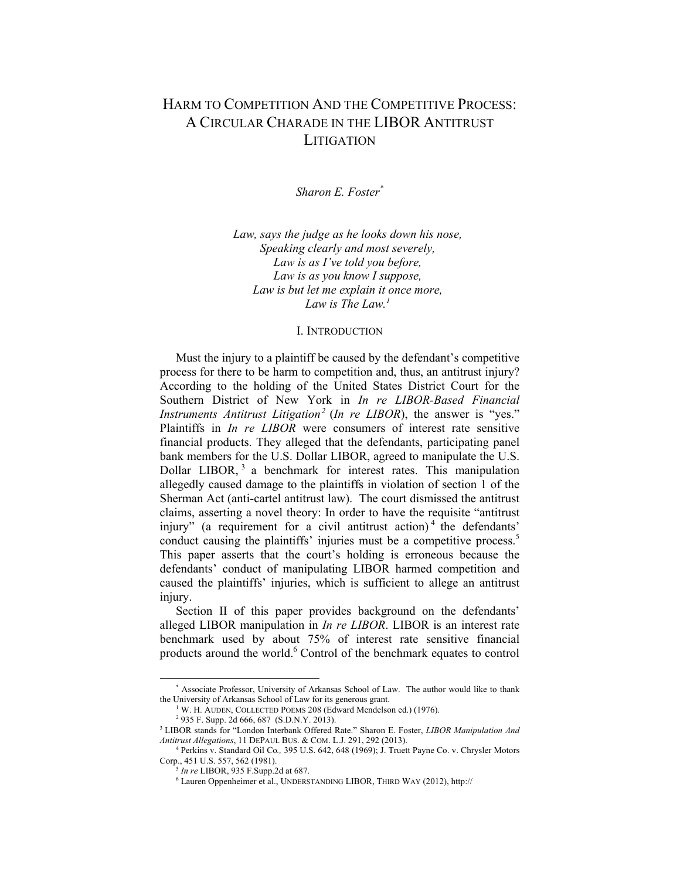# HARM TO COMPETITION AND THE COMPETITIVE PROCESS: A CIRCULAR CHARADE IN THE LIBOR ANTITRUST **LITIGATION**

*Sharon E. Foster\**

*Law, says the judge as he looks down his nose, Speaking clearly and most severely, Law is as I've told you before, Law is as you know I suppose, Law is but let me explain it once more, Law is The Law.<sup>1</sup>*

#### I. INTRODUCTION

Must the injury to a plaintiff be caused by the defendant's competitive process for there to be harm to competition and, thus, an antitrust injury? According to the holding of the United States District Court for the Southern District of New York in *In re LIBOR-Based Financial Instruments Antitrust Litigation<sup>2</sup> (In re LIBOR)*, the answer is "yes." Plaintiffs in *In re LIBOR* were consumers of interest rate sensitive financial products. They alleged that the defendants, participating panel bank members for the U.S. Dollar LIBOR, agreed to manipulate the U.S. Dollar LIBOR,<sup>3</sup> a benchmark for interest rates. This manipulation allegedly caused damage to the plaintiffs in violation of section 1 of the Sherman Act (anti-cartel antitrust law). The court dismissed the antitrust claims, asserting a novel theory: In order to have the requisite "antitrust" injury" (a requirement for a civil antitrust action)<sup>4</sup> the defendants' conduct causing the plaintiffs' injuries must be a competitive process. $5$ This paper asserts that the court's holding is erroneous because the defendants' conduct of manipulating LIBOR harmed competition and caused the plaintiffs' injuries, which is sufficient to allege an antitrust injury.

Section II of this paper provides background on the defendants' alleged LIBOR manipulation in *In re LIBOR*. LIBOR is an interest rate benchmark used by about 75% of interest rate sensitive financial products around the world.<sup>6</sup> Control of the benchmark equates to control

<sup>\*</sup> Associate Professor, University of Arkansas School of Law. The author would like to thank the University of Arkansas School of Law for its generous grant. 1

<sup>&</sup>lt;sup>1</sup> W. H. AUDEN, COLLECTED POEMS 208 (Edward Mendelson ed.) (1976).

<sup>&</sup>lt;sup>2</sup> 935 F. Supp. 2d 666, 687 (S.D.N.Y. 2013).

<sup>&</sup>lt;sup>3</sup> LIBOR stands for "London Interbank Offered Rate." Sharon E. Foster, *LIBOR Manipulation And Antitrust Allegations*, 11 DEPAUL BUS. & COM. L.J. 291, 292 (2013). 4

Perkins v. Standard Oil Co*.,* 395 U.S. 642, 648 (1969); J. Truett Payne Co. v. Chrysler Motors

 $\overline{G}$  *In re* LIBOR, 935 F.Supp.2d at 687.

Lauren Oppenheimer et al., UNDERSTANDING LIBOR, THIRD WAY (2012), http://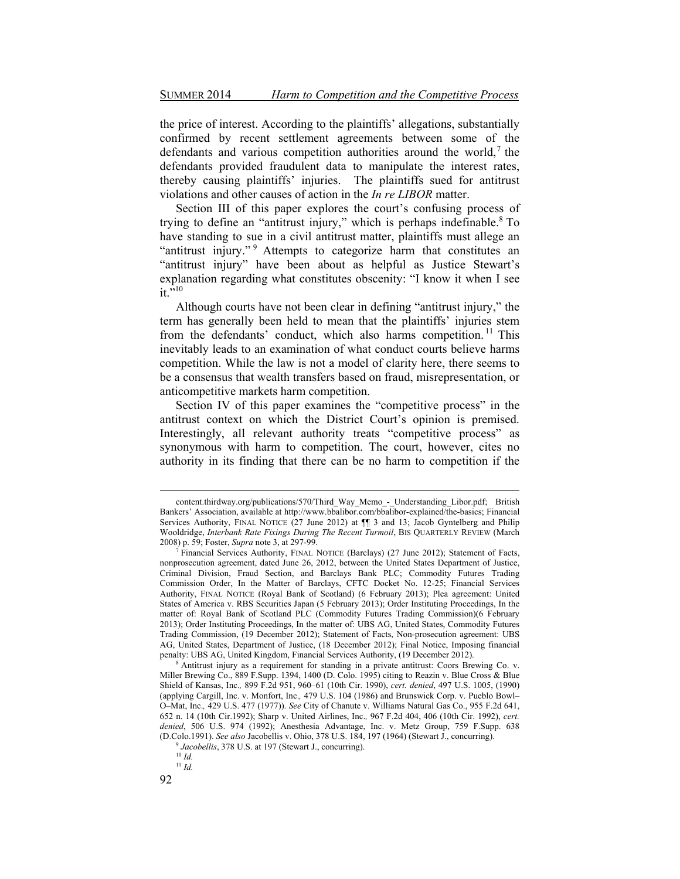the price of interest. According to the plaintiffs' allegations, substantially confirmed by recent settlement agreements between some of the defendants and various competition authorities around the world,  $\hbar$  the defendants provided fraudulent data to manipulate the interest rates, thereby causing plaintiffs' injuries. The plaintiffs sued for antitrust violations and other causes of action in the *In re LIBOR* matter.

Section III of this paper explores the court's confusing process of trying to define an "antitrust injury," which is perhaps indefinable. $8$  To have standing to sue in a civil antitrust matter, plaintiffs must allege an "antitrust injury."<sup>9</sup> Attempts to categorize harm that constitutes an "antitrust injury" have been about as helpful as Justice Stewart's explanation regarding what constitutes obscenity: "I know it when I see it  $\frac{1}{2}$ 10

Although courts have not been clear in defining "antitrust injury," the term has generally been held to mean that the plaintiffs' injuries stem from the defendants' conduct, which also harms competition.<sup>11</sup> This inevitably leads to an examination of what conduct courts believe harms competition. While the law is not a model of clarity here, there seems to be a consensus that wealth transfers based on fraud, misrepresentation, or anticompetitive markets harm competition.

Section IV of this paper examines the "competitive process" in the antitrust context on which the District Court's opinion is premised. Interestingly, all relevant authority treats "competitive process" as synonymous with harm to competition. The court, however, cites no authority in its finding that there can be no harm to competition if the

content.thirdway.org/publications/570/Third\_Way\_Memo\_-\_Understanding\_Libor.pdf; British Bankers' Association, available at http://www.bbalibor.com/bbalibor-explained/the-basics; Financial Services Authority, FINAL NOTICE  $(27 \text{ June } 2012)$  at  $\P$  3 and 13; Jacob Gyntelberg and Philip Wooldridge, *Interbank Rate Fixings During The Recent Turmoil*, BIS QUARTERLY REVIEW (March 2008) p. 59; Foster, *Supra* note 3, at 297-99. 7

<sup>&</sup>lt;sup>7</sup> Financial Services Authority, FINAL NOTICE (Barclays) (27 June 2012); Statement of Facts, nonprosecution agreement, dated June 26, 2012, between the United States Department of Justice, Criminal Division, Fraud Section, and Barclays Bank PLC; Commodity Futures Trading Commission Order, In the Matter of Barclays, CFTC Docket No. 12-25; Financial Services Authority, FINAL NOTICE (Royal Bank of Scotland) (6 February 2013); Plea agreement: United States of America v. RBS Securities Japan (5 February 2013); Order Instituting Proceedings, In the matter of: Royal Bank of Scotland PLC (Commodity Futures Trading Commission)(6 February 2013); Order Instituting Proceedings, In the matter of: UBS AG, United States, Commodity Futures Trading Commission, (19 December 2012); Statement of Facts, Non-prosecution agreement: UBS AG, United States, Department of Justice, (18 December 2012); Final Notice, Imposing financial penalty: UBS AG, United Kingdom, Financial Services Authority, (19 December 2012).

Antitrust injury as a requirement for standing in a private antitrust: Coors Brewing Co. v. Miller Brewing Co., 889 F.Supp. 1394, 1400 (D. Colo. 1995) citing to Reazin v. Blue Cross & Blue Shield of Kansas, Inc., 899 F.2d 951, 960-61 (10th Cir. 1990), *cert. denied*, 497 U.S. 1005, (1990) (applying Cargill, Inc. v. Monfort, Inc., 479 U.S. 104 (1986) and Brunswick Corp. v. Pueblo Bowl-OoMat, Inc.*,* 429 U.S. 477 (1977)). *See* City of Chanute v. Williams Natural Gas Co., 955 F.2d 641, 652 n. 14 (10th Cir.1992); Sharp v. United Airlines, Inc.*,* 967 F.2d 404, 406 (10th Cir. 1992), *cert. denied*, 506 U.S. 974 (1992); Anesthesia Advantage, Inc. v. Metz Group, 759 F.Supp. 638 (D.Colo.1991). *See also* Jacobellis v. Ohio, 378 U.S. 184, 197 (1964) (Stewart J., concurring). 9 *Jacobellis*, 378 U.S. at 197 (Stewart J., concurring). 10 *Id.*

<sup>11</sup> *Id.*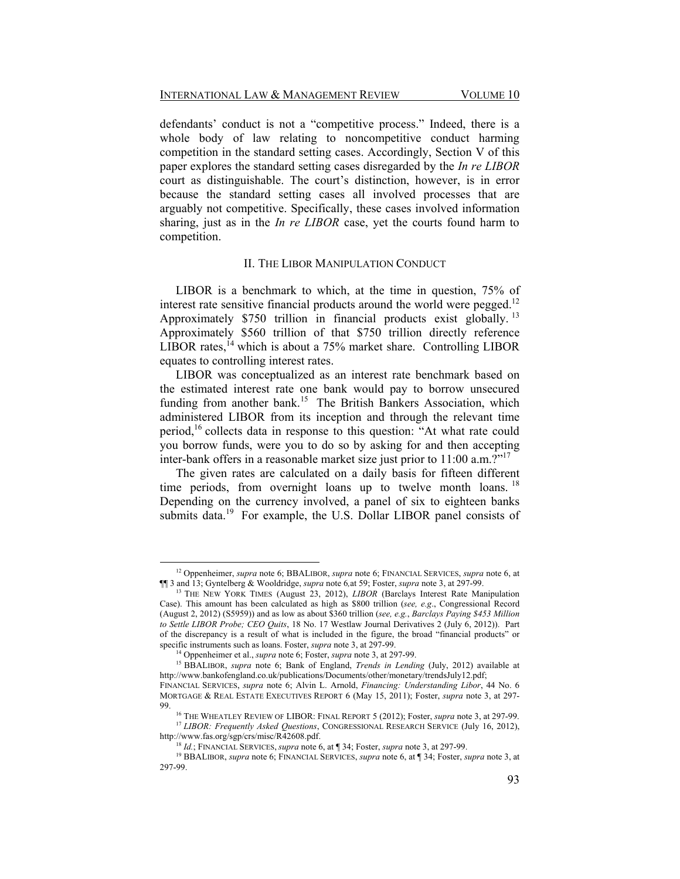defendants' conduct is not a "competitive process." Indeed, there is a whole body of law relating to noncompetitive conduct harming competition in the standard setting cases. Accordingly, Section V of this paper explores the standard setting cases disregarded by the *In re LIBOR* court as distinguishable. The court's distinction, however, is in error because the standard setting cases all involved processes that are arguably not competitive. Specifically, these cases involved information sharing, just as in the *In re LIBOR* case, yet the courts found harm to competition.

#### II. THE LIBOR MANIPULATION CONDUCT

LIBOR is a benchmark to which, at the time in question, 75% of interest rate sensitive financial products around the world were pegged.<sup>12</sup> Approximately \$750 trillion in financial products exist globally. 13 Approximately \$560 trillion of that \$750 trillion directly reference  $LI$ BOR rates, <sup>14</sup> which is about a 75% market share. Controlling LIBOR equates to controlling interest rates.

LIBOR was conceptualized as an interest rate benchmark based on the estimated interest rate one bank would pay to borrow unsecured funding from another bank.<sup>15</sup> The British Bankers Association, which administered LIBOR from its inception and through the relevant time period,<sup>16</sup> collects data in response to this question: "At what rate could you borrow funds, were you to do so by asking for and then accepting inter-bank offers in a reasonable market size just prior to  $11:00$  a.m.  $2^{17}$ 

The given rates are calculated on a daily basis for fifteen different time periods, from overnight loans up to twelve month loans.<sup>18</sup> Depending on the currency involved, a panel of six to eighteen banks submits data.<sup>19</sup> For example, the U.S. Dollar LIBOR panel consists of

<u> 1989 - Johann Stein, fransk politik (d. 1989)</u>

<sup>&</sup>lt;sup>12</sup> Oppenheimer, *supra* note 6; BBALIBOR, *supra* note 6; FINANCIAL SERVICES, *supra* note 6, at 113; Gyntelberg & Wooldridge, *supra* note 6, at 59; Foster, *supra* note 3, at 297-99.

<sup>&</sup>lt;sup>13</sup> THE NEW YORK TIMES (August 23, 2012), *LIBOR* (Barclays Interest Rate Manipulation Case). This amount has been calculated as high as \$800 trillion (*see, e.g*., Congressional Record (August 2, 2012) (S5959)) and as low as about \$360 trillion (*see, e.g.*, *Barclays Paying \$453 Million to Settle LIBOR Probe; CEO Quits*, 18 No. 17 Westlaw Journal Derivatives 2 (July 6, 2012)). Part of the discrepancy is a result of what is included in the figure, the broad "financial products" or specific instruments such as loans. Foster, *supra* note 3, at 297-99.<br><sup>14</sup> Oppenheimer et al., *supra* note 6; Foster, *supra* note 3, at 297-99.<br><sup>15</sup> BBALIBOR, *supra* note 6; Bank of England, *Trends in Lending* (July,

http://www.bankofengland.co.uk/publications/Documents/other/monetary/trendsJuly12.pdf;

FINANCIAL SERVICES, *supra* note 6; Alvin L. Arnold, *Financing: Understanding Libor*, 44 No. 6 MORTGAGE & REAL ESTATE EXECUTIVES REPORT 6 (May 15, 2011); Foster, *supra* note 3, at 297-

<sup>&</sup>lt;sup>16</sup> THE WHEATLEY REVIEW OF LIBOR: FINAL REPORT 5 (2012); Foster, *supra* note 3, at 297-99. <sup>17</sup> *LIBOR: Frequently Asked Questions*, CONGRESSIONAL RESEARCH SERVICE (July 16, 2012),

http://www.fas.org/sgp/crs/misc/R42608.pdf.<br><sup>18</sup> *Id.*; FINANCIAL SERVICES, *supra* note 6, at ¶ 34; Foster, *supra* note 3, at 297-99.<br><sup>19</sup> BBALIBOR, *supra* note 6; FINANCIAL SERVICES, *supra* note 6, at ¶ 34; Foster, *s* 

<sup>297-99.</sup>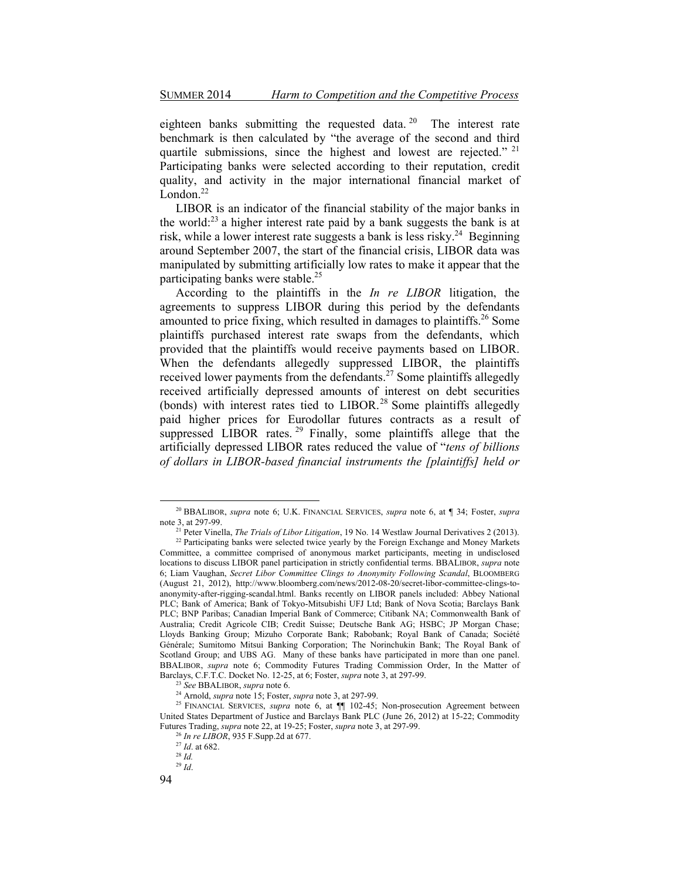eighteen banks submitting the requested data. <sup>20</sup> The interest rate benchmark is then calculated by "the average of the second and third quartile submissions, since the highest and lowest are rejected."  $21$ Participating banks were selected according to their reputation, credit quality, and activity in the major international financial market of  $\overline{\text{L}}$ ondon<sup>22</sup>

LIBOR is an indicator of the financial stability of the major banks in the world:23 a higher interest rate paid by a bank suggests the bank is at risk, while a lower interest rate suggests a bank is less risky.<sup>24</sup> Beginning around September 2007, the start of the financial crisis, LIBOR data was manipulated by submitting artificially low rates to make it appear that the participating banks were stable.<sup>25</sup>

According to the plaintiffs in the *In re LIBOR* litigation, the agreements to suppress LIBOR during this period by the defendants amounted to price fixing, which resulted in damages to plaintiffs.26 Some plaintiffs purchased interest rate swaps from the defendants, which provided that the plaintiffs would receive payments based on LIBOR. When the defendants allegedly suppressed LIBOR, the plaintiffs received lower payments from the defendants.<sup>27</sup> Some plaintiffs allegedly received artificially depressed amounts of interest on debt securities (bonds) with interest rates tied to LIBOR.<sup>28</sup> Some plaintiffs allegedly paid higher prices for Eurodollar futures contracts as a result of suppressed LIBOR rates.<sup>29</sup> Finally, some plaintiffs allege that the artificially depressed LIBOR rates reduced the value of "tens of billions" *of dollars in LIBOR-based financial instruments the [plaintiffs] held or* 

<u> 1989 - Johann Stein, fransk politik (d. 1989)</u>

<sup>20</sup> BBALIBOR, *supra* note 6; U.K. FINANCIAL SERVICES, *supra* note 6, at ¶ 34; Foster, *supra* 

<sup>&</sup>lt;sup>21</sup> Peter Vinella, *The Trials of Libor Litigation*, 19 No. 14 Westlaw Journal Derivatives 2 (2013). <sup>22</sup> Participating banks were selected twice yearly by the Foreign Exchange and Money Markets Committee, a committee comprised of anonymous market participants, meeting in undisclosed locations to discuss LIBOR panel participation in strictly confidential terms. BBALIBOR, *supra* note 6; Liam Vaughan, *Secret Libor Committee Clings to Anonymity Following Scandal*, BLOOMBERG (August 21, 2012), http://www.bloomberg.com/news/2012-08-20/secret-libor-committee-clings-toanonymity-after-rigging-scandal.html. Banks recently on LIBOR panels included: Abbey National PLC; Bank of America; Bank of Tokyo-Mitsubishi UFJ Ltd; Bank of Nova Scotia; Barclays Bank PLC; BNP Paribas; Canadian Imperial Bank of Commerce; Citibank NA; Commonwealth Bank of Australia; Credit Agricole CIB; Credit Suisse; Deutsche Bank AG; HSBC; JP Morgan Chase; Lloyds Banking Group; Mizuho Corporate Bank; Rabobank; Royal Bank of Canada; Société Générale; Sumitomo Mitsui Banking Corporation; The Norinchukin Bank; The Royal Bank of Scotland Group; and UBS AG. Many of these banks have participated in more than one panel. BBALIBOR, *supra* note 6; Commodity Futures Trading Commission Order, In the Matter of Barclays, C.F.T.C. Docket No. 12-25, at 6; Foster, *supra* note 3, at 297-99.

<sup>&</sup>lt;sup>23</sup> See BBALIBOR, *supra* note 6.<br><sup>24</sup> Arnold, *supra* note 15; Foster, *supra* note 3, at 297-99.<br><sup>25</sup> FINANCIAL SERVICES, *supra* note 6, at  $\P$ [ 102-45; Non-prosecution Agreement between United States Department of Justice and Barclays Bank PLC (June 26, 2012) at 15-22; Commodity Futures Trading, *supra* note 22, at 19-25; Foster, *supra* note 3, at 297-99. 26 *In re LIBOR*, 935 F.Supp.2d at 677. 27 *Id*. at 682. 28 *Id.*

<sup>29</sup> *Id*.

<sup>94</sup>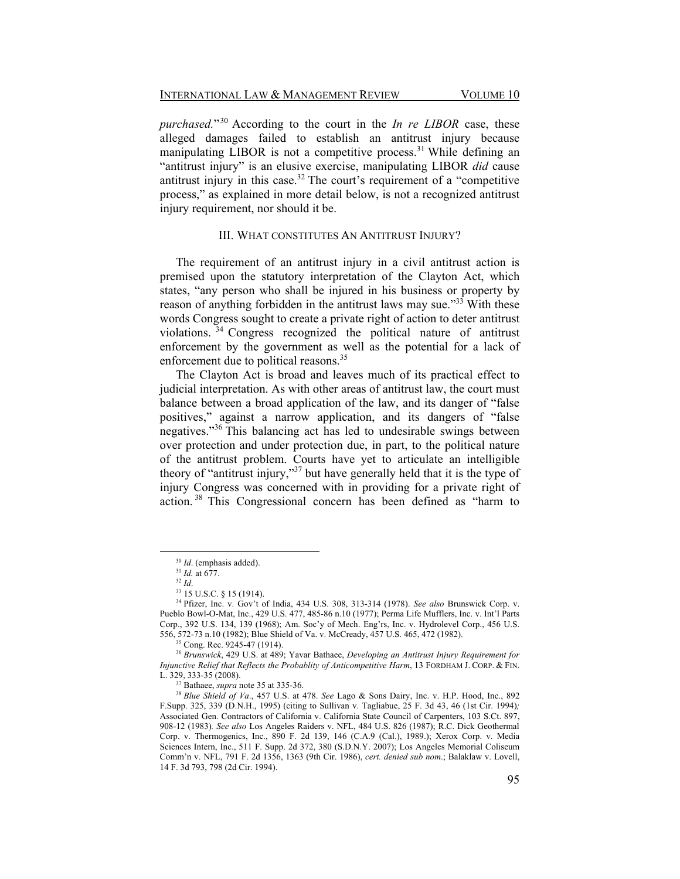*purchased.*<sup>30</sup> According to the court in the *In re LIBOR* case, these alleged damages failed to establish an antitrust injury because manipulating LIBOR is not a competitive process.<sup>31</sup> While defining an "antitrust injury" is an elusive exercise, manipulating LIBOR *did* cause antitrust injury in this case.<sup>32</sup> The court's requirement of a "competitive" process," as explained in more detail below, is not a recognized antitrust injury requirement, nor should it be.

## III. WHAT CONSTITUTES AN ANTITRUST INJURY?

The requirement of an antitrust injury in a civil antitrust action is premised upon the statutory interpretation of the Clayton Act, which states, "any person who shall be injured in his business or property by reason of anything forbidden in the antitrust laws may sue.<sup> $33$ </sup> With these words Congress sought to create a private right of action to deter antitrust violations. <sup>34</sup> Congress recognized the political nature of antitrust enforcement by the government as well as the potential for a lack of enforcement due to political reasons.<sup>35</sup>

The Clayton Act is broad and leaves much of its practical effect to judicial interpretation. As with other areas of antitrust law, the court must balance between a broad application of the law, and its danger of "false" positives," against a narrow application, and its dangers of "false" negatives.<sup>35</sup> This balancing act has led to undesirable swings between over protection and under protection due, in part, to the political nature of the antitrust problem. Courts have yet to articulate an intelligible theory of "antitrust injury," $37$  but have generally held that it is the type of injury Congress was concerned with in providing for a private right of action.<sup>38</sup> This Congressional concern has been defined as "harm to

<sup>30</sup> *Id*. (emphasis added). 31 *Id.* at 677. 32 *Id*. 33 15 U.S.C. § 15 (1914).

<sup>&</sup>lt;sup>34</sup> Pfizer, Inc. v. Gov't of India, 434 U.S. 308, 313-314 (1978). *See also* Brunswick Corp. v. Pueblo Bowl-O-Mat, Inc., 429 U.S. 477, 485-86 n.10 (1977); Perma Life Mufflers, Inc. v. Int'l Parts Corp.,  $392$  U.S. 134, 139 (1968); Am. Soc'y of Mech. Eng'rs, Inc. v. Hydrolevel Corp.,  $456$  U.S. 556, 572-73 n.10 (1982); Blue Shield of Va. v. McCready, 457 U.S. 465, 472 (1982). 35 Cong. Rec. 9245-47 (1914).

<sup>36</sup> *Brunswick*, 429 U.S. at 489; Yavar Bathaee, *Developing an Antitrust Injury Requirement for Injunctive Relief that Reflects the Probablity of Anticompetitive Harm*, 13 FORDHAM J. CORP. & FIN.<br>L. 329, 333-35 (2008).

<sup>&</sup>lt;sup>37</sup> Bathaee, *supra* note 35 at 335-36. 38 *Blue Shield of Va.*, 457 U.S. at 478. *See* Lago & Sons Dairy, Inc. v. H.P. Hood, Inc., 892 F.Supp. 325, 339 (D.N.H., 1995) (citing to Sullivan v. Tagliabue, 25 F. 3d 43, 46 (1st Cir. 1994)*;*  Associated Gen. Contractors of California v. California State Council of Carpenters, 103 S.Ct. 897, 908-12 (1983)*. See also* Los Angeles Raiders v. NFL, 484 U.S. 826 (1987); R.C. Dick Geothermal Corp. v. Thermogenics, Inc., 890 F. 2d 139, 146 (C.A.9 (Cal.), 1989.); Xerox Corp. v. Media Sciences Intern, Inc., 511 F. Supp. 2d 372, 380 (S.D.N.Y. 2007); Los Angeles Memorial Coliseum Comm'n v. NFL, 791 F. 2d 1356, 1363 (9th Cir. 1986), cert. denied sub nom.; Balaklaw v. Lovell, 14 F. 3d 793, 798 (2d Cir. 1994).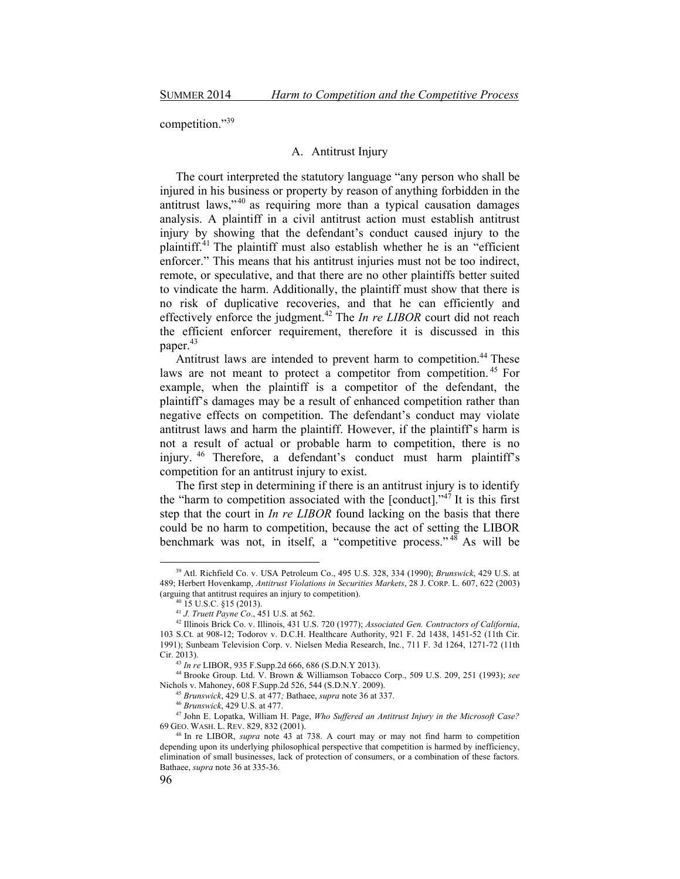competition."39

## A. Antitrust Injury

The court interpreted the statutory language "any person who shall be injured in his business or property by reason of anything forbidden in the antitrust laws," $40$  as requiring more than a typical causation damages analysis. A plaintiff in a civil antitrust action must establish antitrust injury by showing that the defendant's conduct caused injury to the plaintiff.<sup>41</sup> The plaintiff must also establish whether he is an "efficient" enforcer." This means that his antitrust injuries must not be too indirect, remote, or speculative, and that there are no other plaintiffs better suited to vindicate the harm. Additionally, the plaintiff must show that there is no risk of duplicative recoveries, and that he can efficiently and effectively enforce the judgment.42 The *In re LIBOR* court did not reach the efficient enforcer requirement, therefore it is discussed in this paper.<sup>43</sup>

Antitrust laws are intended to prevent harm to competition.<sup>44</sup> These laws are not meant to protect a competitor from competition.<sup>45</sup> For example, when the plaintiff is a competitor of the defendant, the plaintiff's damages may be a result of enhanced competition rather than negative effects on competition. The defendant's conduct may violate antitrust laws and harm the plaintiff. However, if the plaintiff's harm is not a result of actual or probable harm to competition, there is no injury. <sup>46</sup> Therefore, a defendant's conduct must harm plaintiff's competition for an antitrust injury to exist.

The first step in determining if there is an antitrust injury is to identify the "harm to competition associated with the [conduct]."<sup>47</sup> It is this first step that the court in *In re LIBOR* found lacking on the basis that there could be no harm to competition, because the act of setting the LIBOR benchmark was not, in itself, a "competitive process."<sup>48</sup> As will be

<u> 1989 - Johann Stein, fransk politik (d. 1989)</u>

<sup>39</sup> Atl. Richfield Co. v. USA Petroleum Co., 495 U.S. 328, 334 (1990); *Brunswick*, 429 U.S. at 489; Herbert Hovenkamp, *Antitrust Violations in Securities Markets*, 28 J. CORP. L. 607, 622 (2003) (arguing that antitrust requires an injury to competition).<br><sup>40</sup> 15 U.S.C. §15 (2013).<br><sup>41</sup> J. Truett Payne Co., 451 U.S. at 562.

<sup>&</sup>lt;sup>42</sup> Illinois Brick Co. v. Illinois, 431 U.S. 720 (1977); *Associated Gen. Contractors of California*, 103 S.Ct. at 908-12; Todorov v. D.C.H. Healthcare Authority, 921 F. 2d 1438, 1451-52 (11th Cir. 1991); Sunbeam Television Corp. v. Nielsen Media Research, Inc*.*, 711 F. 3d 1264, 1271-72 (11th

Cir. 2013). 43 *In re* LIBOR, 935 F.Supp.2d 666, 686 (S.D.N.Y 2013). 44 Brooke Group. Ltd. V. Brown & Williamson Tobacco Corp., 509 U.S. 209, 251 (1993); *see*

<sup>&</sup>lt;sup>45</sup> Brunswick, 429 U.S. at 477; Bathaee, *supra* note 36 at 337.<br><sup>46</sup> Brunswick, 429 U.S. at 477.<br><sup>47</sup> John E. Lopatka, William H. Page, *Who Suffered an Antitrust Injury in the Microsoft Case?* <sup>69</sup> GEO. WASH. L. REV. 829, 832 (2001). 48 In re LIBOR, *supra* note 43 at 738. A court may or may not find harm to competition

depending upon its underlying philosophical perspective that competition is harmed by inefficiency, elimination of small businesses, lack of protection of consumers, or a combination of these factors. Bathaee, *supra* note 36 at 335-36.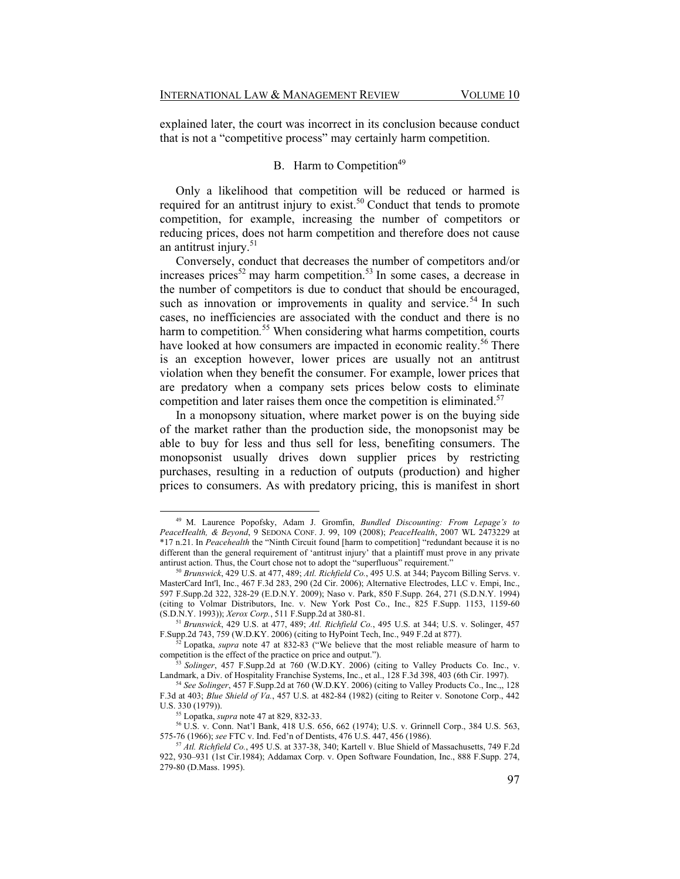explained later, the court was incorrect in its conclusion because conduct that is not a "competitive process" may certainly harm competition.

# B. Harm to Competition<sup>49</sup>

Only a likelihood that competition will be reduced or harmed is required for an antitrust injury to exist.<sup>50</sup> Conduct that tends to promote competition, for example, increasing the number of competitors or reducing prices, does not harm competition and therefore does not cause an antitrust injury. $51$ 

Conversely, conduct that decreases the number of competitors and/or increases prices<sup>52</sup> may harm competition.<sup>53</sup> In some cases, a decrease in the number of competitors is due to conduct that should be encouraged, such as innovation or improvements in quality and service.<sup>54</sup> In such cases, no inefficiencies are associated with the conduct and there is no harm to competition*.* 55 When considering what harms competition, courts have looked at how consumers are impacted in economic reality.<sup>56</sup> There is an exception however, lower prices are usually not an antitrust violation when they benefit the consumer. For example, lower prices that are predatory when a company sets prices below costs to eliminate competition and later raises them once the competition is eliminated.<sup>57</sup>

In a monopsony situation, where market power is on the buying side of the market rather than the production side, the monopsonist may be able to buy for less and thus sell for less, benefiting consumers. The monopsonist usually drives down supplier prices by restricting purchases, resulting in a reduction of outputs (production) and higher prices to consumers. As with predatory pricing, this is manifest in short

49 M. Laurence Popofsky, Adam J. Gromfin, *Bundled Discounting: From Lepage's to PeaceHealth, & Beyond*, 9 SEDONA CONF. J. 99, 109 (2008); *PeaceHealth*, 2007 WL 2473229 at \*17 n.21. In *Peacehealth* the "Ninth Circuit found [harm to competition] "redundant because it is no different than the general requirement of 'antitrust injury' that a plaintiff must prove in any private antirust action. Thus, the Court chose not to adopt the "superfluous" requirement."

<sup>50</sup> *Brunswick*, 429 U.S. at 477, 489; *Atl. Richfield Co.*, 495 U.S. at 344; Paycom Billing Servs. v. MasterCard Int'l, Inc., 467 F.3d 283, 290 (2d Cir. 2006); Alternative Electrodes, LLC v. Empi, Inc., 597 F.Supp.2d 322, 328-29 (E.D.N.Y. 2009); Naso v. Park, 850 F.Supp. 264, 271 (S.D.N.Y. 1994) (citing to Volmar Distributors, Inc. v. New York Post Co., Inc., 825 F.Supp. 1153, 1159-60 (S.D.N.Y. 1993)); *Xerox Corp.*, 511 F.Supp.2d at 380-81.

<sup>&</sup>lt;sup>51</sup> *Brunswick*, 429 U.S. at 477, 489; *Atl. Richfield Co.*, 495 U.S. at 344; U.S. v. Solinger, 457 *F.Supp.2d 743, 759 (W.D.KY. 2006)* (citing to HyPoint Tech. Inc., 949 F.2d at 877).

<sup>&</sup>lt;sup>52</sup> Lopatka, *supra* note 47 at 832-83 ("We believe that the most reliable measure of harm to

competition is the effect of the practice on price and output.").<br><sup>53</sup> *Solinger*, 457 F.Supp.2d at 760 (W.D.KY. 2006) (citing to Valley Products Co. Inc., v.<br>Landmark, a Div. of Hospitality Franchise Systems, Inc., et al.

<sup>&</sup>lt;sup>54</sup> See Solinger, 457 F.Supp.2d at 760 (W.D.KY. 2006) (citing to Valley Products Co., Inc.,, 128 F.3d at 403; *Blue Shield of Va.*, 457 U.S. at 482-84 (1982) (citing to Reiter v. Sonotone Corp., 442

<sup>&</sup>lt;sup>55</sup> Lopatka, *supra* note 47 at 829, 832-33.<br><sup>56</sup> U.S. v. Conn. Nat'l Bank, 418 U.S. 656, 662 (1974); U.S. v. Grinnell Corp., 384 U.S. 563, 575-76 (1966); *see* FTC v. Ind. Fed'n of Dentists, 476 U.S. 447, 456 (1986).<br><sup>57</sup> *Atl. Richfield Co.*, 495 U.S. at 337-38, 340; Kartell v. Blue Shield of Massachusetts, 749 F.2d

<sup>922, 930-931 (1</sup>st Cir.1984); Addamax Corp. v. Open Software Foundation, Inc., 888 F.Supp. 274, 279-80 (D.Mass. 1995).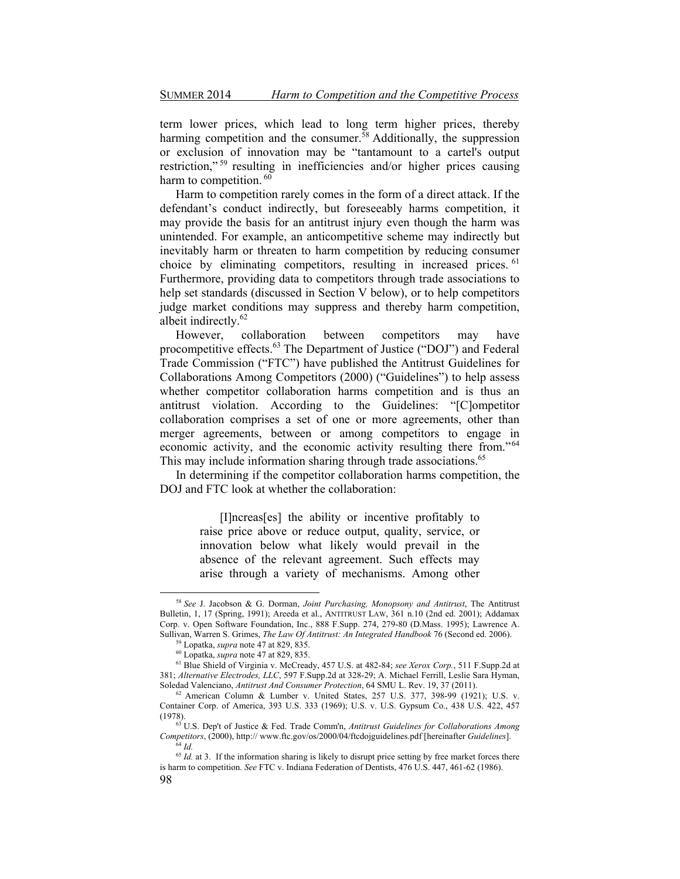term lower prices, which lead to long term higher prices, thereby harming competition and the consumer.  $\frac{5}{8}$  Additionally, the suppression or exclusion of innovation may be "tantamount to a cartel's output restriction,"<sup>59</sup> resulting in inefficiencies and/or higher prices causing harm to competition.<sup>60</sup>

Harm to competition rarely comes in the form of a direct attack. If the defendant's conduct indirectly, but foreseeably harms competition, it may provide the basis for an antitrust injury even though the harm was unintended. For example, an anticompetitive scheme may indirectly but inevitably harm or threaten to harm competition by reducing consumer choice by eliminating competitors, resulting in increased prices. <sup>61</sup> Furthermore, providing data to competitors through trade associations to help set standards (discussed in Section V below), or to help competitors judge market conditions may suppress and thereby harm competition, albeit indirectly.<sup>62</sup>

However, collaboration between competitors may have procompetitive effects.<sup>63</sup> The Department of Justice ("DOJ") and Federal Trade Commission ("FTC") have published the Antitrust Guidelines for Collaborations Among Competitors (2000) ("Guidelines") to help assess whether competitor collaboration harms competition and is thus an antitrust violation. According to the Guidelines: "[C]ompetitor collaboration comprises a set of one or more agreements, other than merger agreements, between or among competitors to engage in economic activity, and the economic activity resulting there from."<sup>64</sup> This may include information sharing through trade associations.<sup>65</sup>

In determining if the competitor collaboration harms competition, the DOJ and FTC look at whether the collaboration:

> [I]ncreas[es] the ability or incentive profitably to raise price above or reduce output, quality, service, or innovation below what likely would prevail in the absence of the relevant agreement. Such effects may arise through a variety of mechanisms. Among other

<sup>58</sup> *See* J. Jacobson & G. Dorman, *Joint Purchasing, Monopsony and Antitrust*, The Antitrust Bulletin, 1, 17 (Spring, 1991); Areeda et al., ANTITRUST LAW, 361 n.10 (2nd ed. 2001); Addamax Corp. v. Open Software Foundation, Inc., 888 F.Supp. 274, 279-80 (D.Mass. 1995); Lawrence A. Sullivan, Warren S. Grimes. The Law Of Antitrust: An Integrated Handbook 76 (Second ed. 2006).

<sup>&</sup>lt;sup>59</sup> Lopatka, *supra* note 47 at 829, 835.<br>
<sup>60</sup> Lopatka, *supra* note 47 at 829, 835.<br>
<sup>61</sup> Blue Shield of Virginia v. McCready, 457 U.S. at 482-84; *see Xerox Corp.*, 511 F.Supp.2d at 381; *Alternative Electrodes, LLC*, 597 F.Supp.2d at 328-29; A. Michael Ferrill, Leslie Sara Hyman, Soledad Valenciano, *Antitrust And Consumer Protection*, 64 SMU L. Rev. 19, 37 (2011).

<sup>&</sup>lt;sup>62</sup> American Column & Lumber v. United States, 257 U.S. 377, 398-99 (1921); U.S. v. Container Corp. of America, 393 U.S. 333 (1969); U.S. v. U.S. Gypsum Co., 438 U.S. 422, 457 (1978). 63 U.S. Dep't of Justice & Fed. Trade Comm'n, *Antitrust Guidelines for Collaborations Among* 

*Competitors*, (2000), http:// www.ftc.gov/os/2000/04/ftcdojguidelines.pdf [hereinafter *Guidelines*]. 64 *Id.*

<sup>98</sup>  <sup>65</sup> *Id.* at 3. If the information sharing is likely to disrupt price setting by free market forces there is harm to competition. *See* FTC v. Indiana Federation of Dentists, 476 U.S. 447, 461-62 (1986).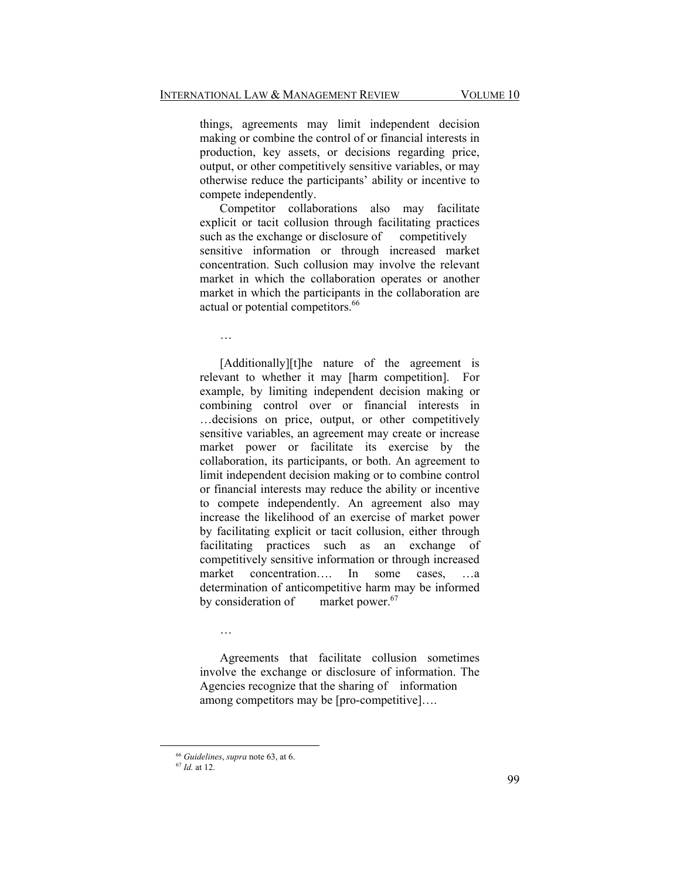things, agreements may limit independent decision making or combine the control of or financial interests in production, key assets, or decisions regarding price, output, or other competitively sensitive variables, or may otherwise reduce the participants' ability or incentive to compete independently.

Competitor collaborations also may facilitate explicit or tacit collusion through facilitating practices such as the exchange or disclosure of competitively sensitive information or through increased market concentration. Such collusion may involve the relevant market in which the collaboration operates or another market in which the participants in the collaboration are actual or potential competitors.<sup>66</sup>

 $\overline{a}$ 

[Additionally][t]he nature of the agreement is relevant to whether it may [harm competition]. For example, by limiting independent decision making or combining control over or financial interests in ... decisions on price, output, or other competitively sensitive variables, an agreement may create or increase market power or facilitate its exercise by the collaboration, its participants, or both. An agreement to limit independent decision making or to combine control or financial interests may reduce the ability or incentive to compete independently. An agreement also may increase the likelihood of an exercise of market power by facilitating explicit or tacit collusion, either through facilitating practices such as an exchange of competitively sensitive information or through increased market concentration... In some cases,  $a$ determination of anticompetitive harm may be informed by consideration of market power.<sup>67</sup>

Agreements that facilitate collusion sometimes involve the exchange or disclosure of information. The Agencies recognize that the sharing of information among competitors may be  $[pro-competitive]...$ 

 $\ddotsc$ 

<sup>66</sup> *Guidelines*, *supra* note 63, at 6. 67 *Id.* at 12.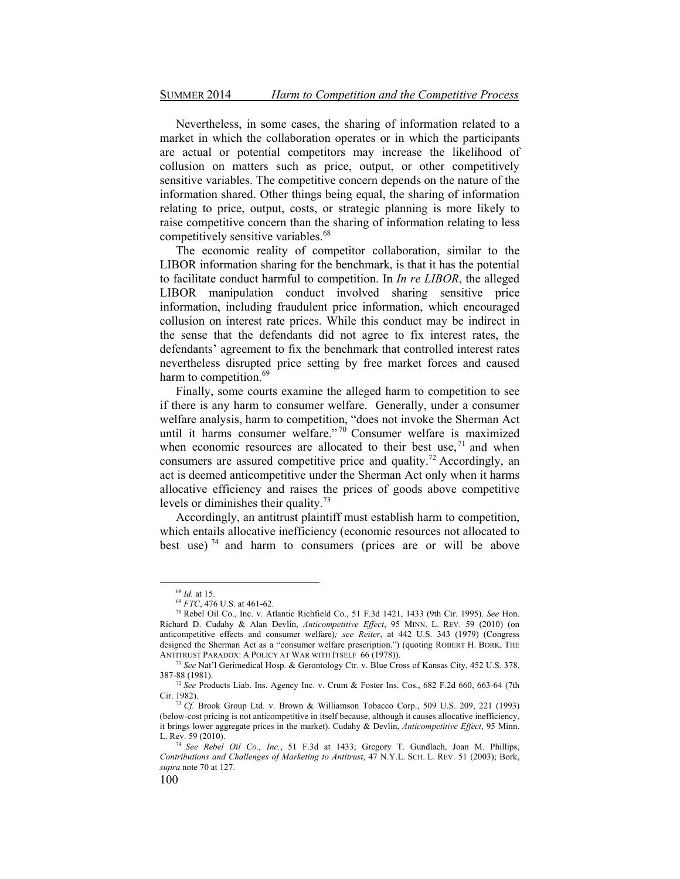Nevertheless, in some cases, the sharing of information related to a market in which the collaboration operates or in which the participants are actual or potential competitors may increase the likelihood of collusion on matters such as price, output, or other competitively sensitive variables. The competitive concern depends on the nature of the information shared. Other things being equal, the sharing of information relating to price, output, costs, or strategic planning is more likely to raise competitive concern than the sharing of information relating to less competitively sensitive variables.<sup>68</sup>

The economic reality of competitor collaboration, similar to the LIBOR information sharing for the benchmark, is that it has the potential to facilitate conduct harmful to competition. In *In re LIBOR*, the alleged LIBOR manipulation conduct involved sharing sensitive price information, including fraudulent price information, which encouraged collusion on interest rate prices. While this conduct may be indirect in the sense that the defendants did not agree to fix interest rates, the defendants' agreement to fix the benchmark that controlled interest rates nevertheless disrupted price setting by free market forces and caused harm to competition.<sup>69</sup>

Finally, some courts examine the alleged harm to competition to see if there is any harm to consumer welfare. Generally, under a consumer welfare analysis, harm to competition, "does not invoke the Sherman Act until it harms consumer welfare."<sup>70</sup> Consumer welfare is maximized when economic resources are allocated to their best use,  $71$  and when consumers are assured competitive price and quality.<sup>72</sup> Accordingly, an act is deemed anticompetitive under the Sherman Act only when it harms allocative efficiency and raises the prices of goods above competitive levels or diminishes their quality.<sup>73</sup>

Accordingly, an antitrust plaintiff must establish harm to competition, which entails allocative inefficiency (economic resources not allocated to best use)<sup>74</sup> and harm to consumers (prices are or will be above

<sup>&</sup>lt;sup>68</sup> *Id.* at 15.<br><sup>69</sup> *FTC*, 476 U.S. at 461-62.<br><sup>70</sup> Rebel Oil Co., Inc. v. Atlantic Richfield Co., 51 F.3d 1421, 1433 (9th Cir. 1995). *See* Hon. Richard D. Cudahy & Alan Devlin, *Anticompetitive Effect*, 95 MINN. L. REV. 59 (2010) (on anticompetitive effects and consumer welfare)*; see Reiter*, at 442 U.S. 343 (1979) (Congress designed the Sherman Act as a "consumer welfare prescription.") (quoting ROBERT H. BORK, THE

ANTITRUST PARADOX: A POLICY AT WAR WITH ITSELF 66 (1978)).<br><sup>71</sup> *See* Nat'l Gerimedical Hosp. & Gerontology Ctr. v. Blue Cross of Kansas City, 452 U.S. 378, 387-88 (1981).

<sup>&</sup>lt;sup>72</sup> See Products Liab. Ins. Agency Inc. v. Crum & Foster Ins. Cos., 682 F.2d 660, 663-64 (7th Cir. 1982). 73 *Cf.* Brook Group Ltd. v. Brown & Williamson Tobacco Corp., 509 U.S. 209, 221 (1993)

<sup>(</sup>below-cost pricing is not anticompetitive in itself because, although it causes allocative inefficiency, it brings lower aggregate prices in the market). Cudahy & Devlin, *Anticompetitive Effect*, 95 Minn.

L. Rev. 59 (2010). 74 *See Rebel Oil Co., Inc.*, 51 F.3d at 1433; Gregory T. Gundlach, Joan M. Phillips, *Contributions and Challenges of Marketing to Antitrust*, 47 N.Y.L. SCH. L. REV. 51 (2003); Bork, *supra* note 70 at 127.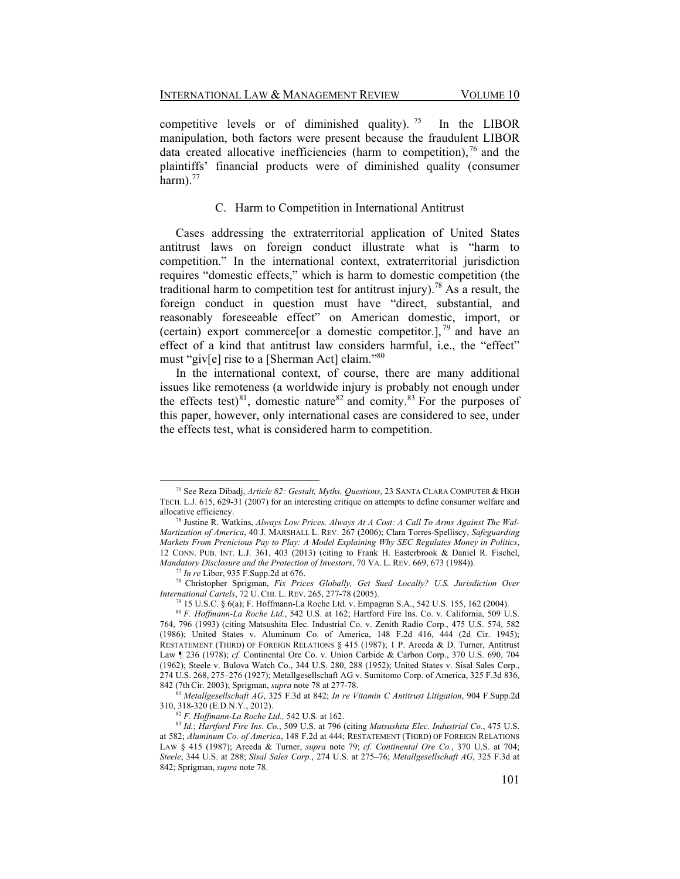competitive levels or of diminished quality). <sup>75</sup> In the LIBOR manipulation, both factors were present because the fraudulent LIBOR data created allocative inefficiencies (harm to competition),  $\frac{76}{3}$  and the plaintiffs' financial products were of diminished quality (consumer harm). $^{77}$ 

# C. Harm to Competition in International Antitrust

Cases addressing the extraterritorial application of United States antitrust laws on foreign conduct illustrate what is "harm to competition." In the international context, extraterritorial jurisdiction requires "domestic effects," which is harm to domestic competition (the traditional harm to competition test for antitrust injury).<sup>78</sup> As a result, the foreign conduct in question must have "direct, substantial, and reasonably foreseeable effect" on American domestic, import, or (certain) export commerce or a domestic competitor.],  $^{79}$  and have an effect of a kind that antitrust law considers harmful, i.e., the "effect" must "giv[e] rise to a [Sherman Act] claim."<sup>80</sup>

In the international context, of course, there are many additional issues like remoteness (a worldwide injury is probably not enough under the effects test)<sup>81</sup>, domestic nature<sup>82</sup> and comity.<sup>83</sup> For the purposes of this paper, however, only international cases are considered to see, under the effects test, what is considered harm to competition.

<sup>75</sup> See Reza Dibadj, *Article 82: Gestalt, Myths, Questions*, 23 SANTA CLARA COMPUTER & HIGH TECH. L.J. 615, 629-31 (2007) for an interesting critique on attempts to define consumer welfare and allocative efficiency. 76 Justine R. Watkins, *Always Low Prices, Always At A Cost: A Call To Arms Against The Wal-*

*Martization of America*, 40 J. MARSHALL L. REV. 267 (2006); Clara Torres-Spelliscy, *Safeguarding Markets From Prenicious Pay to Play: A Model Explaining Why SEC Regulates Money in Politics*, 12 CONN. PUB. INT. L.J. 361, 403 (2013) (citing to Frank H. Easterbrook & Daniel R. Fischel,

Mandatory Disclosure and the Protection of Investors, 70 VA. L. REV. 669, 673 (1984)).<br>
<sup>77</sup> In re Libor, 935 F.Supp.2d at 676.<br>
<sup>78</sup> Christopher Sprigman, *Fix Prices Globally, Get Sued Locally? U.S. Jurisdiction Over*<br>

<sup>&</sup>lt;sup>79</sup> 15 U.S.C. § 6(a); F. Hoffmann-La Roche Ltd. v. Empagran S.A., 542 U.S. 155, 162 (2004).

<sup>80</sup> *F. Hoffmann-La Roche Ltd.*, 542 U.S. at 162; Hartford Fire Ins. Co. v. California, 509 U.S. 764, 796 (1993) (citing Matsushita Elec. Industrial Co. v. Zenith Radio Corp., 475 U.S. 574, 582 (1986); United States v. Aluminum Co. of America, 148 F.2d 416, 444 (2d Cir. 1945); RESTATEMENT (THIRD) OF FOREIGN RELATIONS § 415 (1987); 1 P. Areeda & D. Turner, Antitrust Law ¶ 236 (1978); *cf.* Continental Ore Co. v. Union Carbide & Carbon Corp., 370 U.S. 690, 704 (1962); Steele v. Bulova Watch Co., 344 U.S. 280, 288 (1952); United States v. Sisal Sales Corp., 274 U.S. 268, 275-276 (1927); Metallgesellschaft AG v. Sumitomo Corp. of America, 325 F.3d 836,

<sup>842 (7</sup>thCir. 2003); Sprigman, *supra* note 78 at 277-78. 81 *Metallgesellschaft AG*, 325 F.3d at 842; *In re Vitamin C Antitrust Litigation*, 904 F.Supp.2d

<sup>310, 318-320 (</sup>E.D.N.Y., 2012). 82 *F. Hoffmann-La Roche Ltd.,* 542 U.S. at 162. 83 *Id.*; *Hartford Fire Ins. Co.*, 509 U.S. at 796 (citing *Matsushita Elec. Industrial Co*., 475 U.S. at 582; *Aluminum Co. of America*, 148 F.2d at 444; RESTATEMENT (THIRD) OF FOREIGN RELATIONS LAW § 415 (1987); Areeda & Turner, *supra* note 79; *cf. Continental Ore Co.*, 370 U.S. at 704; *Steele*, 344 U.S. at 288; *Sisal Sales Corp.*, 274 U.S. at 275-76; *Metallgesellschaft AG*, 325 F.3d at 842; Sprigman, *supra* note 78.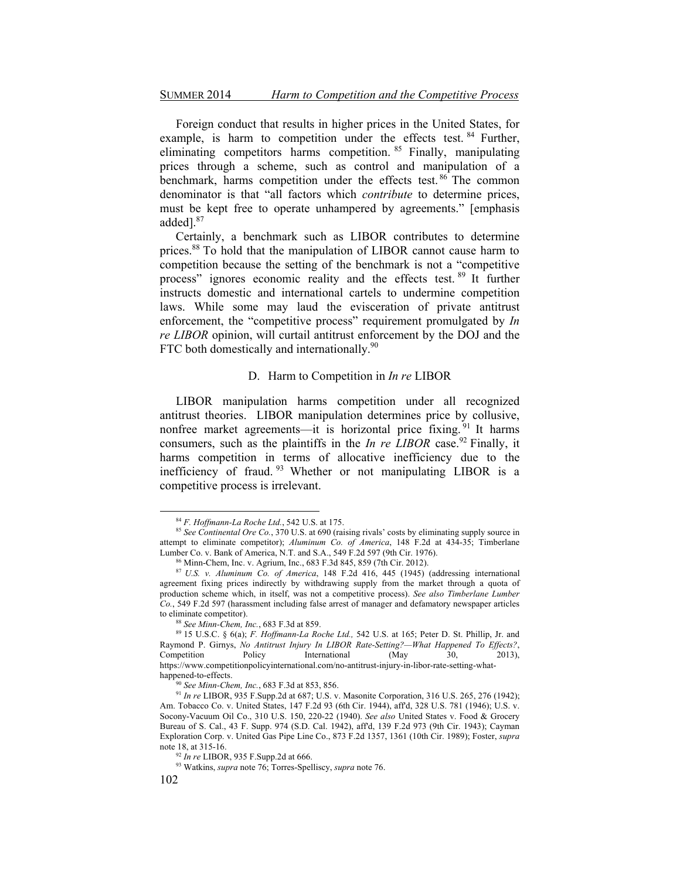Foreign conduct that results in higher prices in the United States, for example, is harm to competition under the effects test. <sup>84</sup> Further, eliminating competitors harms competition. <sup>85</sup> Finally, manipulating prices through a scheme, such as control and manipulation of a benchmark, harms competition under the effects test. 86 The common denominator is that "all factors which *contribute* to determine prices, must be kept free to operate unhampered by agreements." [emphasis added<sup>187</sup>

Certainly, a benchmark such as LIBOR contributes to determine prices.<sup>88</sup> To hold that the manipulation of LIBOR cannot cause harm to competition because the setting of the benchmark is not a "competitive" process" ignores economic reality and the effects test. <sup>89</sup> It further instructs domestic and international cartels to undermine competition laws. While some may laud the evisceration of private antitrust enforcement, the "competitive process" requirement promulgated by *In re LIBOR* opinion, will curtail antitrust enforcement by the DOJ and the FTC both domestically and internationally.<sup>90</sup>

# D. Harm to Competition in *In re* LIBOR

LIBOR manipulation harms competition under all recognized antitrust theories. LIBOR manipulation determines price by collusive, nonfree market agreements—it is horizontal price fixing. <sup>91</sup> It harms consumers, such as the plaintiffs in the *In re LIBOR* case.<sup>92</sup> Finally, it harms competition in terms of allocative inefficiency due to the inefficiency of fraud. 93 Whether or not manipulating LIBOR is a competitive process is irrelevant.

<sup>&</sup>lt;sup>84</sup> *F. Hoffmann-La Roche Ltd.*, 542 U.S. at 175.<br><sup>85</sup> *See Continental Ore Co.*, 370 U.S. at 690 (raising rivals' costs by eliminating supply source in attempt to eliminate competitor); *Aluminum Co. of America*, 148 F.2d at 434-35; Timberlane

<sup>&</sup>lt;sup>86</sup> Minn-Chem, Inc. v. Agrium, Inc., 683 F.3d 845, 859 (7th Cir. 2012).

<sup>87</sup> *U.S. v. Aluminum Co. of America*, 148 F.2d 416, 445 (1945) (addressing international agreement fixing prices indirectly by withdrawing supply from the market through a quota of production scheme which, in itself, was not a competitive process). *See also Timberlane Lumber Co.*, 549 F.2d 597 (harassment including false arrest of manager and defamatory newspaper articles to eliminate competitor).<br><sup>88</sup> *See Minn-Chem, Inc.*, 683 F.3d at 859.<br><sup>89</sup> 15 U.S.C. § 6(a); *F. Hoffmann-La Roche Ltd.*, 542 U.S. at 165; Peter D. St. Phillip, Jr. and

Raymond P. Girnys, *No Antitrust Injury In LIBOR Rate-Setting?—What Happened To Effects?*, Competition Policy International (May 30, 2013), https://www.competitionpolicyinternational.com/no-antitrust-injury-in-libor-rate-setting-what-

<sup>&</sup>lt;sup>90</sup> *See Minn-Chem, Inc.*, 683 F.3d at 853, 856. *91 In re LIBOR, 935 F.Supp.2d at 687; U.S. v. Masonite Corporation, 316 U.S. 265, 276 (1942);* Am. Tobacco Co. v. United States, 147 F.2d 93 (6th Cir. 1944), aff'd, 328 U.S. 781 (1946); U.S. v. Socony-Vacuum Oil Co., 310 U.S. 150, 220-22 (1940). *See also* United States v. Food & Grocery Bureau of S. Cal., 43 F. Supp. 974 (S.D. Cal. 1942), aff'd, 139 F.2d 973 (9th Cir. 1943); Cayman Exploration Corp. v. United Gas Pipe Line Co., 873 F.2d 1357, 1361 (10th Cir. 1989); Foster, *supra* 

<sup>&</sup>lt;sup>92</sup> *In re* LIBOR, 935 F.Supp.2d at 666. <sup>93</sup> Watkins, *supra* note 76; Torres-Spelliscy, *supra* note 76.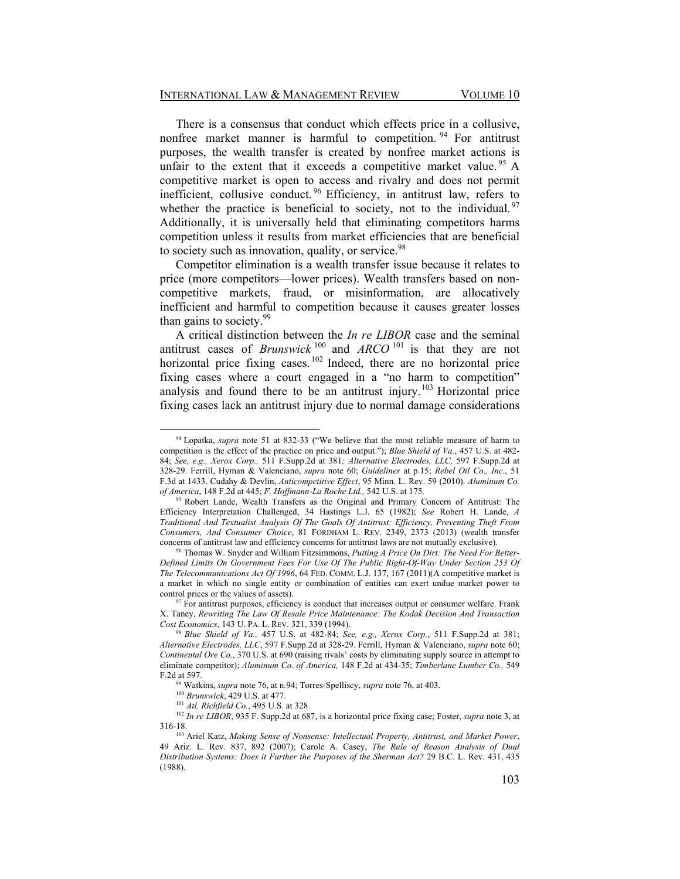There is a consensus that conduct which effects price in a collusive, nonfree market manner is harmful to competition.<sup>94</sup> For antitrust purposes, the wealth transfer is created by nonfree market actions is unfair to the extent that it exceeds a competitive market value.<sup>95</sup> A competitive market is open to access and rivalry and does not permit inefficient, collusive conduct. 96 Efficiency, in antitrust law, refers to whether the practice is beneficial to society, not to the individual.  $97$ Additionally, it is universally held that eliminating competitors harms competition unless it results from market efficiencies that are beneficial to society such as innovation, quality, or service. $98$ 

Competitor elimination is a wealth transfer issue because it relates to price (more competitors—lower prices). Wealth transfers based on noncompetitive markets, fraud, or misinformation, are allocatively inefficient and harmful to competition because it causes greater losses than gains to society.<sup>99</sup>

A critical distinction between the *In re LIBOR* case and the seminal antitrust cases of *Brunswick*  $^{100}$  and *ARCO*  $^{101}$  is that they are not horizontal price fixing cases.<sup>102</sup> Indeed, there are no horizontal price fixing cases where a court engaged in a "no harm to competition" analysis and found there to be an antitrust injury.103 Horizontal price fixing cases lack an antitrust injury due to normal damage considerations

<sup>&</sup>lt;sup>94</sup> Lopatka, *supra* note 51 at 832-33 ("We believe that the most reliable measure of harm to competition is the effect of the practice on price and output."); *Blue Shield of Va.*, 457 U.S. at 482-84; *See, e.g., Xerox Corp.,* 511 F.Supp.2d at 381*; Alternative Electrodes, LLC,* 597 F.Supp.2d at 328-29. Ferrill, Hyman & Valenciano, *supra* note 60; *Guidelines* at p.15; *Rebel Oil Co., Inc.*, 51 F.3d at 1433. Cudahy & Devlin, *Anticompetitive Effect*, 95 Minn. L. Rev. 59 (2010). *Aluminum Co. of America*, 148 F.2d at 445; *F. Hoffmann-La Roche Ltd.*, 542 U.S. at 175.<br><sup>95</sup> Robert Lande, Wealth Transfers as the Original and Primary Concern of Antitrust: The

Efficiency Interpretation Challenged, 34 Hastings L.J. 65 (1982); *See* Robert H. Lande, *A Traditional And Textualist Analysis Of The Goals Of Antitrust: Efficiency, Preventing Theft From Consumers, And Consumer Choice*, 81 FORDHAM L. REV. 2349, 2373 (2013) (wealth transfer

<sup>&</sup>lt;sup>96</sup> Thomas W. Snyder and William Fitzsimmons, Putting A Price On Dirt: The Need For Better-*Defined Limits On Government Fees For Use Of The Public Right-Of-Way Under Section 253 Of The Telecommunications Act Of 1996*, 64 FED. COMM. L.J. 137, 167 (2011)(A competitive market is a market in which no single entity or combination of entities can exert undue market power to control prices or the values of assets).<br><sup>97</sup> For antitrust purposes, efficiency is conduct that increases output or consumer welfare. Frank

X. Taney, *Rewriting The Law Of Resale Price Maintenance: The Kodak Decision And Transaction* 

<sup>&</sup>lt;sup>98</sup> Blue Shield of Va., 457 U.S. at 482-84; *See, e.g., Xerox Corp.*, 511 F.Supp.2d at 381; *Alternative Electrodes, LLC*, 597 F.Supp.2d at 328-29. Ferrill, Hyman & Valenciano, *supra* note 60; *Continental Ore Co.*, 370 U.S. at 690 (raising rivals' costs by eliminating supply source in attempt to eliminate competitor); *Aluminum Co. of America,* 148 F.2d at 434-35; *Timberlane Lumber Co.,* 549

F.2d at 597.<br><sup>99</sup> Watkins, *supra* note 76, at n.94; Torres-Spelliscy, *supra* note 76, at 403.<br><sup>100</sup> Brunswick, 429 U.S. at 477.<br><sup>101</sup> Atl. Richfield Co., 495 U.S. at 328.<br><sup>102</sup> In re LIBOR, 935 F. Supp.2d at 687, is a h

<sup>&</sup>lt;sup>103</sup> Ariel Katz, *Making Sense of Nonsense: Intellectual Property, Antitrust, and Market Power,* 49 Ariz. L. Rev. 837, 892 (2007); Carole A. Casey, *The Rule of Reason Analysis of Dual Distribution Systems: Does it Further the Purposes of the Sherman Act?* 29 B.C. L. Rev. 431, 435 (1988).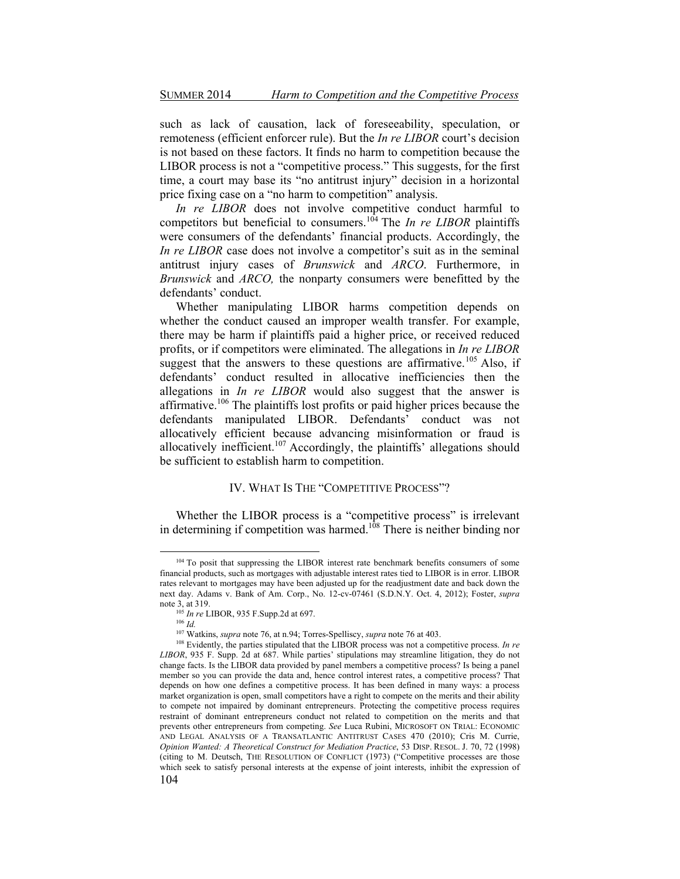such as lack of causation, lack of foreseeability, speculation, or remoteness (efficient enforcer rule). But the *In re LIBOR* court's decision is not based on these factors. It finds no harm to competition because the LIBOR process is not a "competitive process." This suggests, for the first time, a court may base its "no antitrust injury" decision in a horizontal price fixing case on a "no harm to competition" analysis.

*In re LIBOR* does not involve competitive conduct harmful to competitors but beneficial to consumers.<sup>104</sup> The *In re LIBOR* plaintiffs were consumers of the defendants' financial products. Accordingly, the *In re LIBOR* case does not involve a competitor's suit as in the seminal antitrust injury cases of *Brunswick* and *ARCO*. Furthermore, in *Brunswick* and *ARCO,* the nonparty consumers were benefitted by the defendants' conduct.

Whether manipulating LIBOR harms competition depends on whether the conduct caused an improper wealth transfer. For example, there may be harm if plaintiffs paid a higher price, or received reduced profits, or if competitors were eliminated. The allegations in *In re LIBOR* suggest that the answers to these questions are affirmative.<sup>105</sup> Also, if defendants' conduct resulted in allocative inefficiencies then the allegations in *In re LIBOR* would also suggest that the answer is affirmative.106 The plaintiffs lost profits or paid higher prices because the defendants manipulated LIBOR. Defendants<sup>7</sup> conduct was not allocatively efficient because advancing misinformation or fraud is allocatively inefficient.<sup>107</sup> Accordingly, the plaintiffs' allegations should be sufficient to establish harm to competition.

# IV. WHAT IS THE "COMPETITIVE PROCESS"?

Whether the LIBOR process is a "competitive process" is irrelevant in determining if competition was harmed.<sup>108</sup> There is neither binding nor

<sup>&</sup>lt;sup>104</sup> To posit that suppressing the LIBOR interest rate benchmark benefits consumers of some financial products, such as mortgages with adjustable interest rates tied to LIBOR is in error. LIBOR rates relevant to mortgages may have been adjusted up for the readjustment date and back down the next day. Adams v. Bank of Am. Corp., No. 12-cv-07461 (S.D.N.Y. Oct. 4, 2012); Foster, *supra*  note 3, at 319.<br>
<sup>105</sup> *In re* LIBOR, 935 F.Supp.2d at 697.<br>
<sup>106</sup> *Id.*<br>
<sup>107</sup> Watkins, *supra* note 76, at n.94; Torres-Spelliscy, *supra* note 76 at 403.

<sup>&</sup>lt;sup>108</sup> Evidently, the parties stipulated that the LIBOR process was not a competitive process. *In re* LIBOR, 935 F. Supp. 2d at 687. While parties' stipulations may streamline litigation, they do not change facts. Is the LIBOR data provided by panel members a competitive process? Is being a panel member so you can provide the data and, hence control interest rates, a competitive process? That depends on how one defines a competitive process. It has been defined in many ways: a process market organization is open, small competitors have a right to compete on the merits and their ability to compete not impaired by dominant entrepreneurs. Protecting the competitive process requires restraint of dominant entrepreneurs conduct not related to competition on the merits and that prevents other entrepreneurs from competing. *See* Luca Rubini, MICROSOFT ON TRIAL: ECONOMIC AND LEGAL ANALYSIS OF A TRANSATLANTIC ANTITRUST CASES 470 (2010); Cris M. Currie, *Opinion Wanted: A Theoretical Construct for Mediation Practice*, 53 DISP. RESOL. J. 70, 72 (1998) (citing to M. Deutsch, THE RESOLUTION OF CONFLICT (1973) ("Competitive processes are those which seek to satisfy personal interests at the expense of joint interests, inhibit the expression of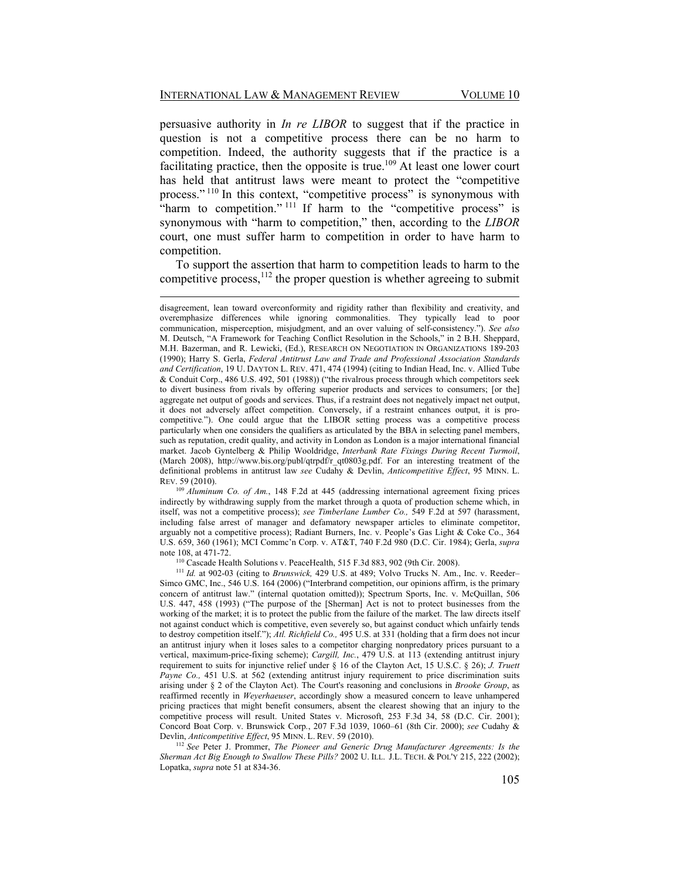persuasive authority in *In re LIBOR* to suggest that if the practice in question is not a competitive process there can be no harm to competition. Indeed, the authority suggests that if the practice is a facilitating practice, then the opposite is true.<sup>109</sup> At least one lower court has held that antitrust laws were meant to protect the "competitive" process."<sup>110</sup> In this context, "competitive process" is synonymous with "harm to competition."<sup>111</sup> If harm to the "competitive process" is synonymous with "harm to competition," then, according to the *LIBOR* court, one must suffer harm to competition in order to have harm to competition.

To support the assertion that harm to competition leads to harm to the competitive process,  $12$  the proper question is whether agreeing to submit

<sup>109</sup> *Aluminum Co. of Am.*, 148 F.2d at 445 (addressing international agreement fixing prices indirectly by withdrawing supply from the market through a quota of production scheme which, in itself, was not a competitive process); *see Timberlane Lumber Co.,* 549 F.2d at 597 (harassment, including false arrest of manager and defamatory newspaper articles to eliminate competitor, arguably not a competitive process); Radiant Burners, Inc. v. People's Gas Light  $\&$  Coke Co., 364 U.S. 659, 360 (1961); MCI Comme'n Corp. v. AT&T, 740 F.2d 980 (D.C. Cir. 1984); Gerla, *supra* note 108, at 471-72.<br><sup>110</sup> Cascade Health Solutions v. PeaceHealth, 515 F.3d 883, 902 (9th Cir. 2008).<br><sup>111</sup> *Id.* at 902-03 (citing to *Brunswick*, 429 U.S. at 489; Volvo Trucks N. Am., Inc. v. Reeder–

Simco GMC, Inc., 546 U.S. 164 (2006) ("Interbrand competition, our opinions affirm, is the primary concern of antitrust law." (internal quotation omitted)); Spectrum Sports, Inc. v. McQuillan, 506 U.S. 447, 458 (1993) ("The purpose of the [Sherman] Act is not to protect businesses from the working of the market; it is to protect the public from the failure of the market. The law directs itself not against conduct which is competitive, even severely so, but against conduct which unfairly tends to destroy competition itself."); *Atl. Richfield Co.*, 495 U.S. at 331 (holding that a firm does not incur an antitrust injury when it loses sales to a competitor charging nonpredatory prices pursuant to a vertical, maximum-price-fixing scheme); *Cargill, Inc.*, 479 U.S. at 113 (extending antitrust injury requirement to suits for injunctive relief under § 16 of the Clayton Act, 15 U.S.C. § 26); *J. Truett Payne Co.*, 451 U.S. at 562 (extending antitrust injury requirement to price discrimination suits arising under § 2 of the Clayton Act). The Court's reasoning and conclusions in *Brooke Group*, as reaffirmed recently in *Weyerhaeuser*, accordingly show a measured concern to leave unhampered pricing practices that might benefit consumers, absent the clearest showing that an injury to the competitive process will result. United States v. Microsoft, 253 F.3d 34, 58 (D.C. Cir. 2001); Concord Boat Corp. v. Brunswick Corp., 207 F.3d 1039, 1060-61 (8th Cir. 2000); see Cudahy & Devlin, *Anticompetitive Effect*, 95 MINN. L. REV. 59 (2010). 112 *See* Peter J. Prommer, *The Pioneer and Generic Drug Manufacturer Agreements: Is the* 

*Sherman Act Big Enough to Swallow These Pills?* 2002 U. ILL. J.L. TECH. & POL'Y 215, 222 (2002); Lopatka, *supra* note 51 at 834-36.

disagreement, lean toward overconformity and rigidity rather than flexibility and creativity, and overemphasize differences while ignoring commonalities. They typically lead to poor communication, misperception, misjudgment, and an over valuing of self-consistency."). See also M. Deutsch, "A Framework for Teaching Conflict Resolution in the Schools," in 2 B.H. Sheppard, M.H. Bazerman, and R. Lewicki, (Ed.), RESEARCH ON NEGOTIATION IN ORGANIZATIONS 189-203 (1990); Harry S. Gerla, *Federal Antitrust Law and Trade and Professional Association Standards and Certification*, 19 U. DAYTON L. REV. 471, 474 (1994) (citing to Indian Head, Inc. v. Allied Tube & Conduit Corp., 486 U.S. 492, 501 (1988)) ("the rivalrous process through which competitors seek to divert business from rivals by offering superior products and services to consumers; [or the] aggregate net output of goods and services. Thus, if a restraint does not negatively impact net output, it does not adversely affect competition. Conversely, if a restraint enhances output, it is procompetitive."). One could argue that the LIBOR setting process was a competitive process particularly when one considers the qualifiers as articulated by the BBA in selecting panel members, such as reputation, credit quality, and activity in London as London is a major international financial market. Jacob Gyntelberg & Philip Wooldridge, *Interbank Rate Fixings During Recent Turmoil*, (March 2008), http://www.bis.org/publ/qtrpdf/r\_qt0803g.pdf. For an interesting treatment of the definitional problems in antitrust law *see* Cudahy & Devlin, *Anticompetitive Effect*, 95 MINN. L. REV. 59 (2010).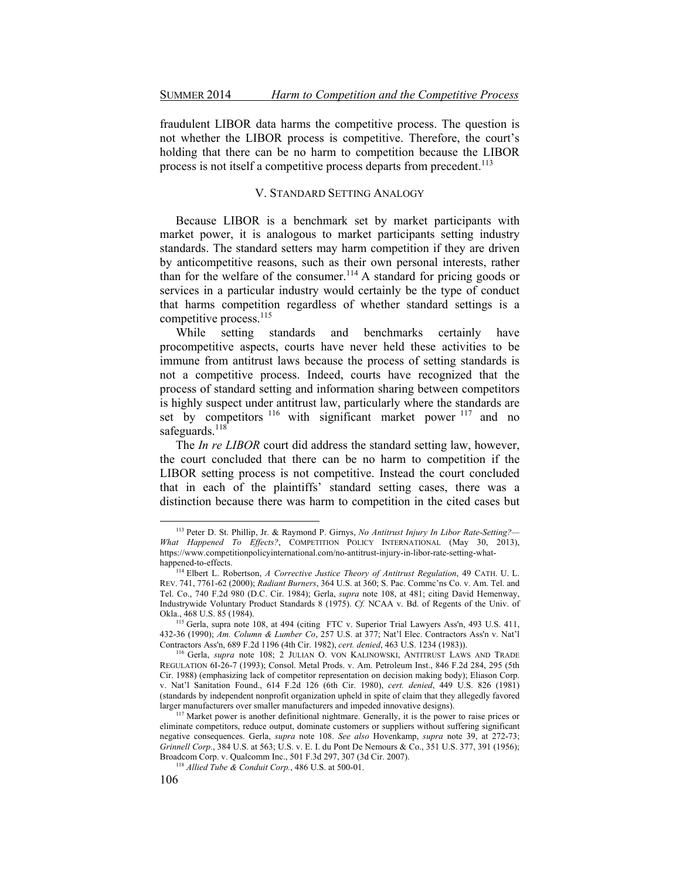fraudulent LIBOR data harms the competitive process. The question is not whether the LIBOR process is competitive. Therefore, the court's holding that there can be no harm to competition because the LIBOR process is not itself a competitive process departs from precedent.<sup>113</sup>

# V. STANDARD SETTING ANALOGY

Because LIBOR is a benchmark set by market participants with market power, it is analogous to market participants setting industry standards. The standard setters may harm competition if they are driven by anticompetitive reasons, such as their own personal interests, rather than for the welfare of the consumer.<sup>114</sup> A standard for pricing goods or services in a particular industry would certainly be the type of conduct that harms competition regardless of whether standard settings is a competitive process.<sup>115</sup>

While setting standards and benchmarks certainly have procompetitive aspects, courts have never held these activities to be immune from antitrust laws because the process of setting standards is not a competitive process. Indeed, courts have recognized that the process of standard setting and information sharing between competitors is highly suspect under antitrust law, particularly where the standards are set by competitors <sup>116</sup> with significant market power <sup>117</sup> and no safeguards. $118$ 

The *In re LIBOR* court did address the standard setting law, however, the court concluded that there can be no harm to competition if the LIBOR setting process is not competitive. Instead the court concluded that in each of the plaintiffs' standard setting cases, there was a distinction because there was harm to competition in the cited cases but

<sup>113</sup> Peter D. St. Phillip, Jr. & Raymond P. Girnys, *No Antitrust Injury In Libor Rate-Setting?— What Happened To Effects?*, COMPETITION POLICY INTERNATIONAL (May 30, 2013), https://www.competitionpolicyinternational.com/no-antitrust-injury-in-libor-rate-setting-whathappened-to-effects. 114 Elbert L. Robertson, *A Corrective Justice Theory of Antitrust Regulation*, 49 CATH. U. L.

REV. 741, 7761-62 (2000); *Radiant Burners*, 364 U.S. at 360; S. Pac. Commc'ns Co. v. Am. Tel. and Tel. Co., 740 F.2d 980 (D.C. Cir. 1984); Gerla, *supra* note 108, at 481; citing David Hemenway, Industrywide Voluntary Product Standards 8 (1975). *Cf.* NCAA v. Bd. of Regents of the Univ. of

<sup>&</sup>lt;sup>115</sup> Gerla, supra note 108, at 494 (citing FTC v. Superior Trial Lawyers Ass'n, 493 U.S. 411, 432-36 (1990); *Am. Column & Lumber Co.* 257 U.S. at 377; Nat'l Elec. Contractors Ass'n v. Nat'l Contractors Ass'n, 689 F.2d 1196 (4th Cir. 1982), *cert. denied*, 463 U.S. 1234 (1983)). 116 Gerla, *supra* note 108; 2 JULIAN O. VON KALINOWSKI, ANTITRUST LAWS AND TRADE

REGULATION 6I-26-7 (1993); Consol. Metal Prods. v. Am. Petroleum Inst., 846 F.2d 284, 295 (5th Cir. 1988) (emphasizing lack of competitor representation on decision making body); Eliason Corp. v. Nat'l Sanitation Found., 614 F.2d 126 (6th Cir. 1980), *cert. denied*, 449 U.S. 826 (1981) (standards by independent nonprofit organization upheld in spite of claim that they allegedly favored

 $117$  Market power is another definitional nightmare. Generally, it is the power to raise prices or eliminate competitors, reduce output, dominate customers or suppliers without suffering significant negative consequences. Gerla, *supra* note 108. *See also* Hovenkamp, *supra* note 39, at 272-73; *Grinnell Corp.*, 384 U.S. at 563; U.S. v. E. I. du Pont De Nemours & Co., 351 U.S. 377, 391 (1956); Broadcom Corp. v. Qualcomm Inc., 501 F.3d 297, 307 (3d Cir. 2007). 118 *Allied Tube & Conduit Corp.*, 486 U.S. at 500-01.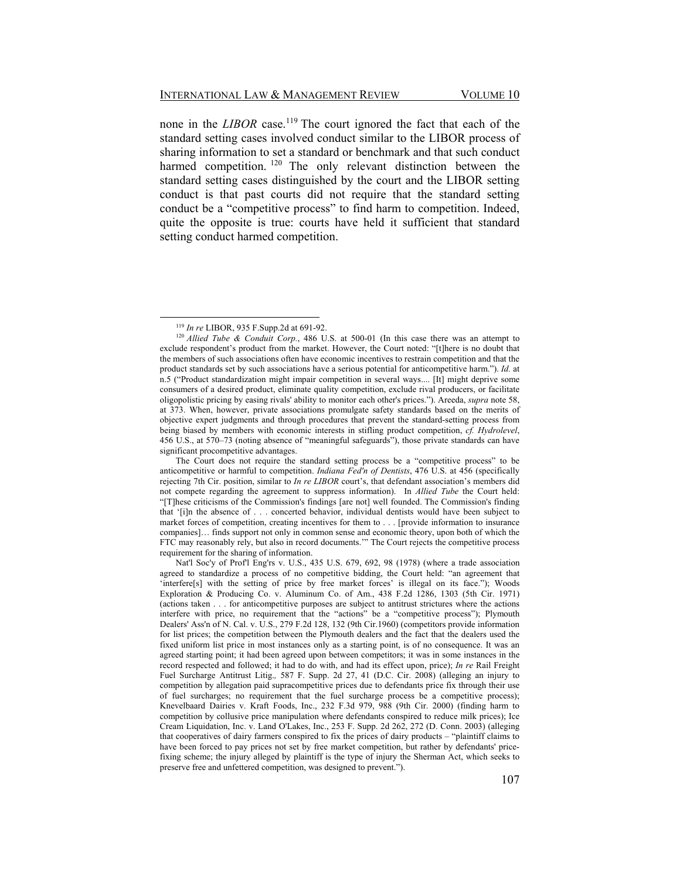none in the *LIBOR* case.<sup>119</sup> The court ignored the fact that each of the standard setting cases involved conduct similar to the LIBOR process of sharing information to set a standard or benchmark and that such conduct harmed competition.<sup>120</sup> The only relevant distinction between the standard setting cases distinguished by the court and the LIBOR setting conduct is that past courts did not require that the standard setting conduct be a "competitive process" to find harm to competition. Indeed, quite the opposite is true: courts have held it sufficient that standard setting conduct harmed competition.

The Court does not require the standard setting process be a "competitive process" to be anticompetitive or harmful to competition. *Indiana Fed'n of Dentists*, 476 U.S. at 456 (specifically rejecting 7th Cir. position, similar to *In re LIBOR* court's, that defendant association's members did not compete regarding the agreement to suppress information). In *Allied Tube* the Court held: "[T]hese criticisms of the Commission's findings [are not] well founded. The Commission's finding that '[i]n the absence of . . . concerted behavior, individual dentists would have been subject to market forces of competition, creating incentives for them to . . . [provide information to insurance companies]... finds support not only in common sense and economic theory, upon both of which the FTC may reasonably rely, but also in record documents." The Court rejects the competitive process requirement for the sharing of information.

Nat'l Soc'y of Prof'l Eng'rs v. U.S., 435 U.S. 679, 692, 98 (1978) (where a trade association agreed to standardize a process of no competitive bidding, the Court held: "an agreement that 'interfere[s] with the setting of price by free market forces' is illegal on its face."); Woods Exploration & Producing Co. v. Aluminum Co. of Am., 438 F.2d 1286, 1303 (5th Cir. 1971) (actions taken . . . for anticompetitive purposes are subject to antitrust strictures where the actions interfere with price, no requirement that the "actions" be a "competitive process"); Plymouth Dealers' Ass'n of N. Cal. v. U.S., 279 F.2d 128, 132 (9th Cir.1960) (competitors provide information for list prices; the competition between the Plymouth dealers and the fact that the dealers used the fixed uniform list price in most instances only as a starting point, is of no consequence. It was an agreed starting point; it had been agreed upon between competitors; it was in some instances in the record respected and followed; it had to do with, and had its effect upon, price); *In re* Rail Freight Fuel Surcharge Antitrust Litig.*,* 587 F. Supp. 2d 27, 41 (D.C. Cir. 2008) (alleging an injury to competition by allegation paid supracompetitive prices due to defendants price fix through their use of fuel surcharges; no requirement that the fuel surcharge process be a competitive process); Knevelbaard Dairies v. Kraft Foods, Inc., 232 F.3d 979, 988 (9th Cir. 2000) (finding harm to competition by collusive price manipulation where defendants conspired to reduce milk prices); Ice Cream Liquidation, Inc. v. Land O'Lakes, Inc., 253 F. Supp. 2d 262, 272 (D. Conn. 2003) (alleging that cooperatives of dairy farmers conspired to fix the prices of dairy products - "plaintiff claims to have been forced to pay prices not set by free market competition, but rather by defendants' pricefixing scheme; the injury alleged by plaintiff is the type of injury the Sherman Act, which seeks to preserve free and unfettered competition, was designed to prevent.").

 $119$  In re LIBOR, 935 F.Supp.2d at 691-92.

 $120$  *Allied Tube & Conduit Corp.*, 486 U.S. at 500-01 (In this case there was an attempt to exclude respondent's product from the market. However, the Court noted: "[t]here is no doubt that the members of such associations often have economic incentives to restrain competition and that the product standards set by such associations have a serious potential for anticompetitive harm."). *Id.* at n.5 ("Product standardization might impair competition in several ways.... [It] might deprive some consumers of a desired product, eliminate quality competition, exclude rival producers, or facilitate oligopolistic pricing by easing rivals' ability to monitor each other's prices."). Areeda, *supra* note 58, at 373. When, however, private associations promulgate safety standards based on the merits of objective expert judgments and through procedures that prevent the standard-setting process from being biased by members with economic interests in stifling product competition, *cf. Hydrolevel*, 456 U.S., at 570–73 (noting absence of "meaningful safeguards"), those private standards can have significant procompetitive advantages.